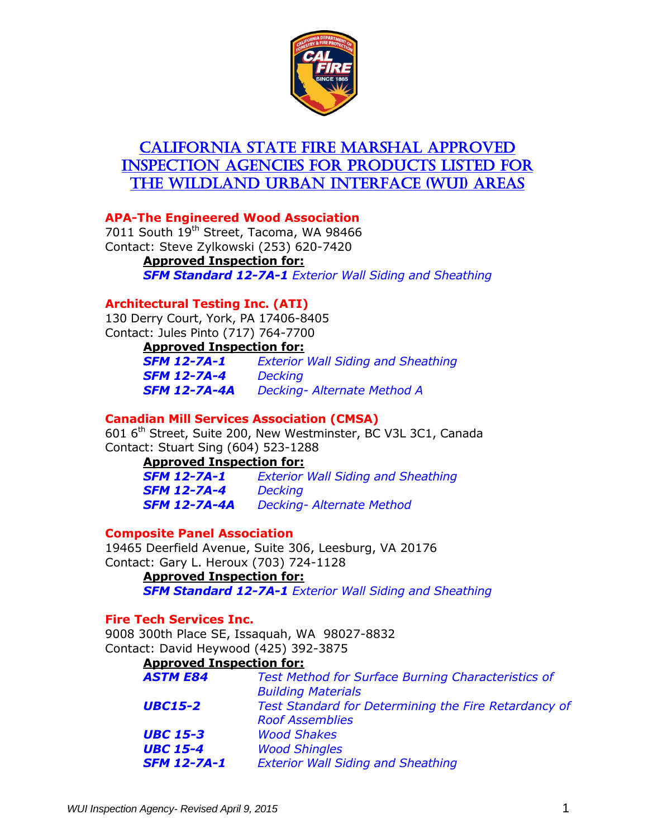

## **APA-The Engineered Wood Association**

7011 South 19<sup>th</sup> Street, Tacoma, WA 98466 Contact: Steve Zylkowski (253) 620-7420

**Approved Inspection for:**  *SFM Standard 12-7A-1 Exterior Wall Siding and Sheathing* 

## **Architectural Testing Inc. (ATI)**

130 Derry Court, York, PA 17406-8405 Contact: Jules Pinto (717) 764-7700

### **Approved Inspection for:**

*SFM 12-7A-1 Exterior Wall Siding and Sheathing SFM 12-7A-4 Decking SFM 12-7A-4A Decking- Alternate Method A* 

## **Canadian Mill Services Association (CMSA)**

601 6<sup>th</sup> Street, Suite 200, New Westminster, BC V3L 3C1, Canada Contact: Stuart Sing (604) 523-1288

## **Approved Inspection for:**

*SFM 12-7A-1 Exterior Wall Siding and Sheathing SFM 12-7A-4 Decking SFM 12-7A-4A Decking- Alternate Method* 

## **Composite Panel Association**

19465 Deerfield Avenue, Suite 306, Leesburg, VA 20176 Contact: Gary L. Heroux (703) 724-1128

## **Approved Inspection for:**

*SFM Standard 12-7A-1 Exterior Wall Siding and Sheathing* 

## **Fire Tech Services Inc.**

9008 300th Place SE, Issaquah, WA 98027-8832 Contact: David Heywood (425) 392-3875

## **Approved Inspection for:**

| <b>ASTM E84</b>    | Test Method for Surface Burning Characteristics of   |
|--------------------|------------------------------------------------------|
|                    | <b>Building Materials</b>                            |
| <b>UBC15-2</b>     | Test Standard for Determining the Fire Retardancy of |
|                    | <b>Roof Assemblies</b>                               |
| <b>UBC 15-3</b>    | <b>Wood Shakes</b>                                   |
| <b>UBC 15-4</b>    | <b>Wood Shingles</b>                                 |
| <b>SFM 12-7A-1</b> | <b>Exterior Wall Siding and Sheathing</b>            |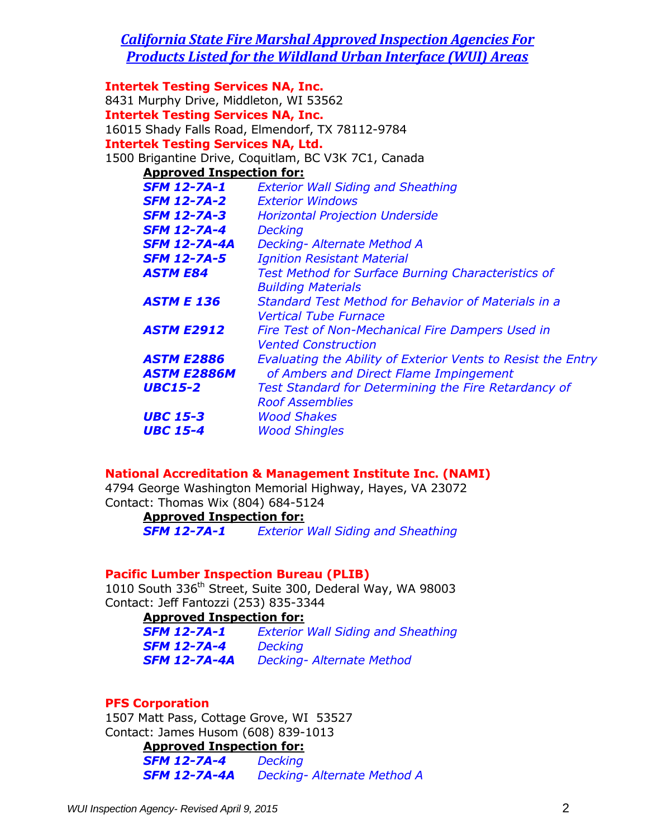**Intertek Testing Services NA, Inc.** 8431 Murphy Drive, Middleton, WI 53562 **Intertek Testing Services NA, Inc.** 16015 Shady Falls Road, Elmendorf, TX 78112-9784 **Intertek Testing Services NA, Ltd.** 1500 Brigantine Drive, Coquitlam, BC V3K 7C1, Canada **Approved Inspection for:** *SFM 12-7A-1 Exterior Wall Siding and Sheathing SFM 12-7A-2 Exterior Windows SFM 12-7A-3 Horizontal Projection Underside SFM 12-7A-4 Decking SFM 12-7A-4A Decking- Alternate Method A SFM 12-7A-5 Ignition Resistant Material ASTM E84 Test Method for Surface Burning Characteristics of Building Materials ASTM E 136 Standard Test Method for Behavior of Materials in a Vertical Tube Furnace ASTM E2912 Fire Test of Non-Mechanical Fire Dampers Used in Vented Construction ASTM E2886 Evaluating the Ability of Exterior Vents to Resist the Entry ASTM E2886M of Ambers and Direct Flame Impingement UBC15-2 Test Standard for Determining the Fire Retardancy of Roof Assemblies UBC 15-3 Wood Shakes UBC 15-4 Wood Shingles*

#### **National Accreditation & Management Institute Inc. (NAMI)**

4794 George Washington Memorial Highway, Hayes, VA 23072 Contact: Thomas Wix (804) 684-5124

**Approved Inspection for:**

*SFM 12-7A-1 Exterior Wall Siding and Sheathing*

#### **Pacific Lumber Inspection Bureau (PLIB)**

1010 South 336th Street, Suite 300, Dederal Way, WA 98003 Contact: Jeff Fantozzi (253) 835-3344

#### **Approved Inspection for:**

*SFM 12-7A-1 Exterior Wall Siding and Sheathing SFM 12-7A-4 Decking SFM 12-7A-4A Decking- Alternate Method*

#### **PFS Corporation**

1507 Matt Pass, Cottage Grove, WI 53527 Contact: James Husom (608) 839-1013

# **Approved Inspection for:**

*SFM 12-7A-4 Decking SFM 12-7A-4A Decking- Alternate Method A*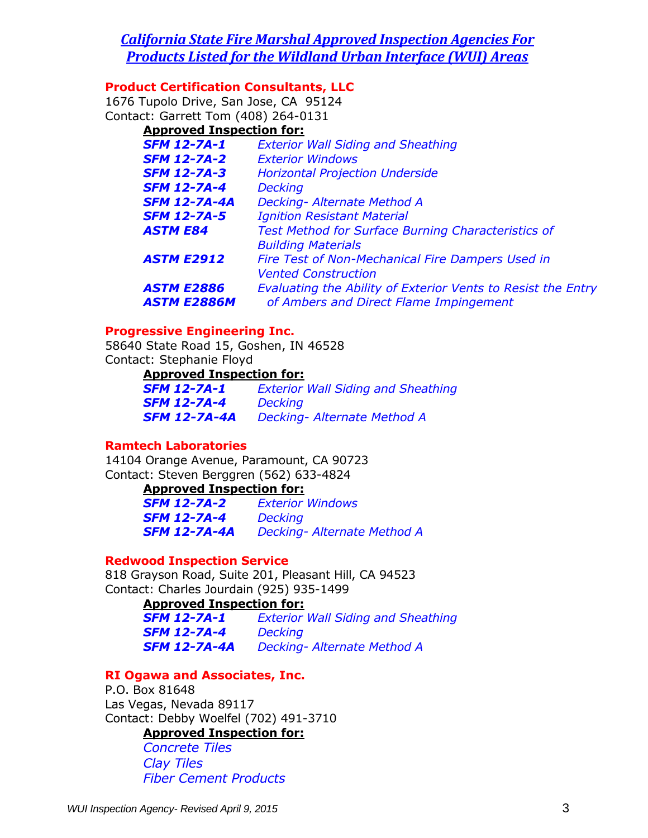### **Product Certification Consultants, LLC**

1676 Tupolo Drive, San Jose, CA 95124 Contact: Garrett Tom (408) 264-0131

## **Approved Inspection for:**

| <b>SFM 12-7A-1</b>  | <b>Exterior Wall Siding and Sheathing</b>                    |
|---------------------|--------------------------------------------------------------|
| <b>SFM 12-7A-2</b>  | <b>Exterior Windows</b>                                      |
| <b>SFM 12-7A-3</b>  | <b>Horizontal Projection Underside</b>                       |
| <b>SFM 12-7A-4</b>  | <b>Decking</b>                                               |
| <b>SFM 12-7A-4A</b> | Decking- Alternate Method A                                  |
| <b>SFM 12-7A-5</b>  | <b>Ignition Resistant Material</b>                           |
| <b>ASTM E84</b>     | <b>Test Method for Surface Burning Characteristics of</b>    |
|                     | <b>Building Materials</b>                                    |
| <b>ASTM E2912</b>   | Fire Test of Non-Mechanical Fire Dampers Used in             |
|                     | <b>Vented Construction</b>                                   |
| <b>ASTM E2886</b>   | Evaluating the Ability of Exterior Vents to Resist the Entry |
| <b>ASTM E2886M</b>  | of Ambers and Direct Flame Impingement                       |

#### **Progressive Engineering Inc.**

58640 State Road 15, Goshen, IN 46528 Contact: Stephanie Floyd

#### **Approved Inspection for:**

| <b>SFM 12-7A-1</b>  | <b>Exterior Wall Siding and Sheathing</b> |
|---------------------|-------------------------------------------|
| <b>SFM 12-7A-4</b>  | <b>Decking</b>                            |
| <b>SFM 12-7A-4A</b> | Decking- Alternate Method A               |

#### **Ramtech Laboratories**

14104 Orange Avenue, Paramount, CA 90723 Contact: Steven Berggren (562) 633-4824

## **Approved Inspection for:**

*SFM 12-7A-2 Exterior Windows SFM 12-7A-4 Decking SFM 12-7A-4A Decking- Alternate Method A*

### **Redwood Inspection Service**

818 Grayson Road, Suite 201, Pleasant Hill, CA 94523 Contact: Charles Jourdain (925) 935-1499

#### **Approved Inspection for:**

*SFM 12-7A-1 Exterior Wall Siding and Sheathing SFM 12-7A-4 Decking SFM 12-7A-4A Decking- Alternate Method A*

### **RI Ogawa and Associates, Inc.**

P.O. Box 81648 Las Vegas, Nevada 89117 Contact: Debby Woelfel (702) 491-3710

# **Approved Inspection for:**

*Concrete Tiles Clay Tiles Fiber Cement Products*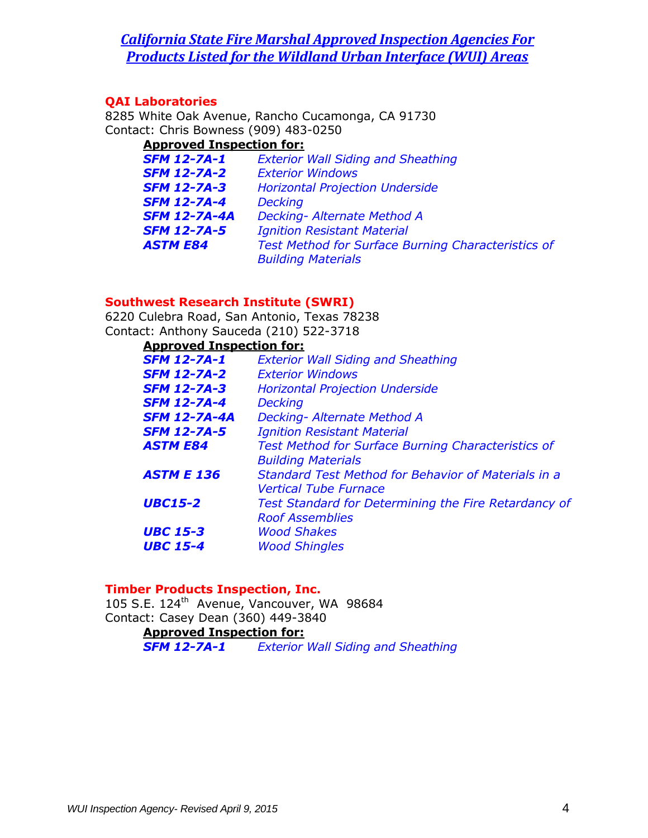#### **QAI Laboratories**

8285 White Oak Avenue, Rancho Cucamonga, CA 91730 Contact: Chris Bowness (909) 483-0250

## **Approved Inspection for:**

| <b>SFM 12-7A-1</b>  | <b>Exterior Wall Siding and Sheathing</b>          |
|---------------------|----------------------------------------------------|
| <b>SFM 12-7A-2</b>  | <b>Exterior Windows</b>                            |
| <b>SFM 12-7A-3</b>  | <b>Horizontal Projection Underside</b>             |
| <b>SFM 12-7A-4</b>  | <b>Decking</b>                                     |
| <b>SFM 12-7A-4A</b> | Decking- Alternate Method A                        |
| <b>SFM 12-7A-5</b>  | <b>Ignition Resistant Material</b>                 |
| <b>ASTM E84</b>     | Test Method for Surface Burning Characteristics of |
|                     | <b>Building Materials</b>                          |

### **Southwest Research Institute (SWRI)**

6220 Culebra Road, San Antonio, Texas 78238 Contact: Anthony Sauceda (210) 522-3718

## **Approved Inspection for:**

| <b>SFM 12-7A-1</b>  | <b>Exterior Wall Siding and Sheathing</b>                                              |
|---------------------|----------------------------------------------------------------------------------------|
| <b>SFM 12-7A-2</b>  | <b>Exterior Windows</b>                                                                |
| <b>SFM 12-7A-3</b>  | <b>Horizontal Projection Underside</b>                                                 |
| <b>SFM 12-7A-4</b>  | <b>Decking</b>                                                                         |
| <b>SFM 12-7A-4A</b> | Decking- Alternate Method A                                                            |
| <b>SFM 12-7A-5</b>  | <b>Ignition Resistant Material</b>                                                     |
| <b>ASTM E84</b>     | <b>Test Method for Surface Burning Characteristics of</b><br><b>Building Materials</b> |
| <b>ASTM E 136</b>   | Standard Test Method for Behavior of Materials in a<br><b>Vertical Tube Furnace</b>    |
| <b>UBC15-2</b>      | Test Standard for Determining the Fire Retardancy of<br><b>Roof Assemblies</b>         |
| <b>UBC 15-3</b>     | <b>Wood Shakes</b>                                                                     |
| <b>UBC 15-4</b>     | <b>Wood Shingles</b>                                                                   |

#### **Timber Products Inspection, Inc.**

105 S.E. 124<sup>th</sup> Avenue, Vancouver, WA 98684 Contact: Casey Dean (360) 449-3840

## **Approved Inspection for:**

*SFM 12-7A-1 Exterior Wall Siding and Sheathing*